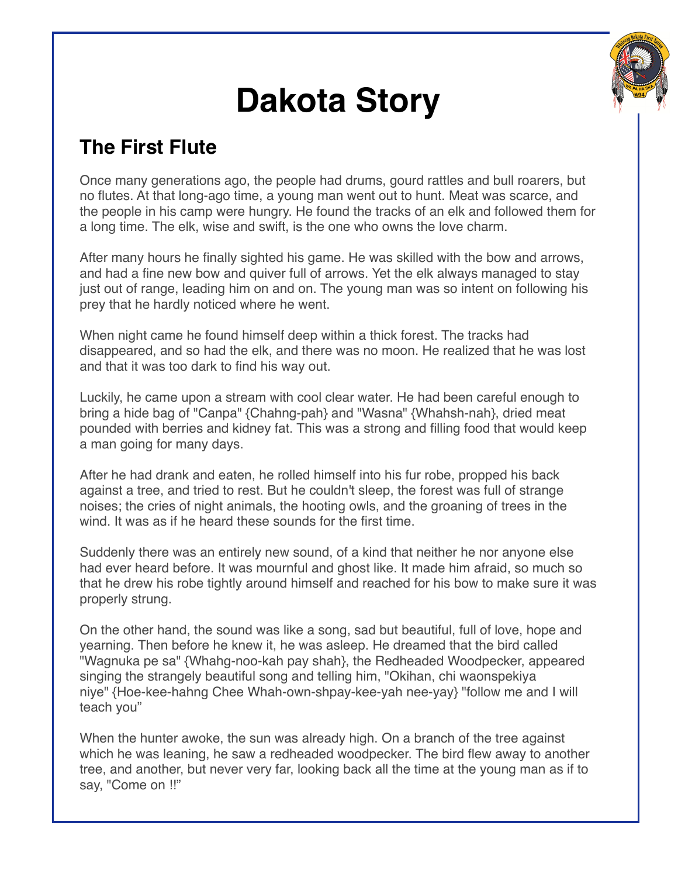

## **Dakota Story**

## **The First Flute**

Once many generations ago, the people had drums, gourd rattles and bull roarers, but no flutes. At that long-ago time, a young man went out to hunt. Meat was scarce, and the people in his camp were hungry. He found the tracks of an elk and followed them for a long time. The elk, wise and swift, is the one who owns the love charm.

After many hours he finally sighted his game. He was skilled with the bow and arrows, and had a fine new bow and quiver full of arrows. Yet the elk always managed to stay just out of range, leading him on and on. The young man was so intent on following his prey that he hardly noticed where he went.

When night came he found himself deep within a thick forest. The tracks had disappeared, and so had the elk, and there was no moon. He realized that he was lost and that it was too dark to find his way out.

Luckily, he came upon a stream with cool clear water. He had been careful enough to bring a hide bag of "Canpa" {Chahng-pah} and "Wasna" {Whahsh-nah}, dried meat pounded with berries and kidney fat. This was a strong and filling food that would keep a man going for many days.

After he had drank and eaten, he rolled himself into his fur robe, propped his back against a tree, and tried to rest. But he couldn't sleep, the forest was full of strange noises; the cries of night animals, the hooting owls, and the groaning of trees in the wind. It was as if he heard these sounds for the first time.

Suddenly there was an entirely new sound, of a kind that neither he nor anyone else had ever heard before. It was mournful and ghost like. It made him afraid, so much so that he drew his robe tightly around himself and reached for his bow to make sure it was properly strung.

On the other hand, the sound was like a song, sad but beautiful, full of love, hope and yearning. Then before he knew it, he was asleep. He dreamed that the bird called "Wagnuka pe sa" {Whahg-noo-kah pay shah}, the Redheaded Woodpecker, appeared singing the strangely beautiful song and telling him, "Okihan, chi waonspekiya niye" {Hoe-kee-hahng Chee Whah-own-shpay-kee-yah nee-yay} "follow me and I will teach you"

When the hunter awoke, the sun was already high. On a branch of the tree against which he was leaning, he saw a redheaded woodpecker. The bird flew away to another tree, and another, but never very far, looking back all the time at the young man as if to say, "Come on !!"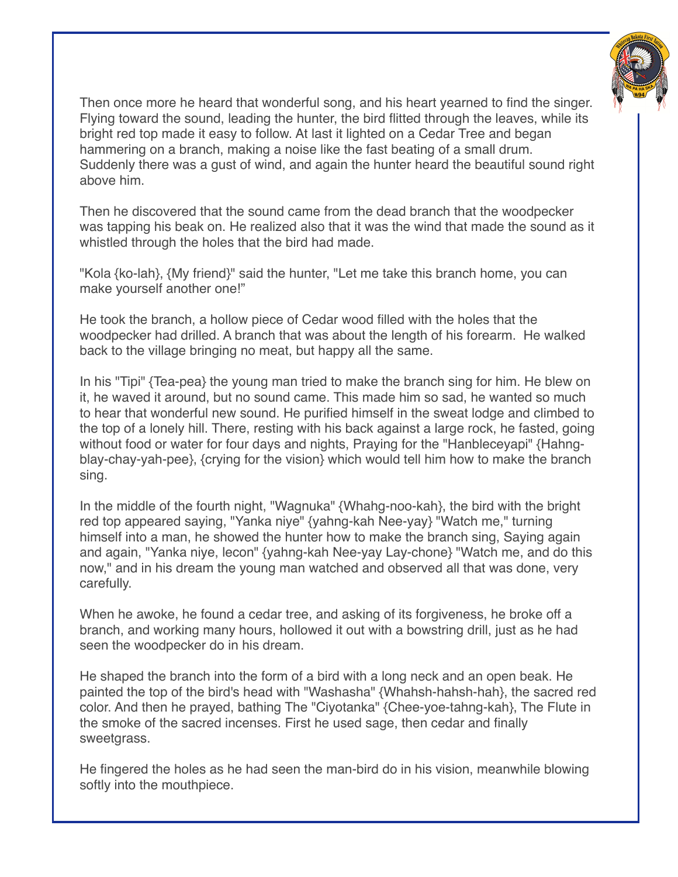

Then once more he heard that wonderful song, and his heart yearned to find the singer. Flying toward the sound, leading the hunter, the bird flitted through the leaves, while its bright red top made it easy to follow. At last it lighted on a Cedar Tree and began hammering on a branch, making a noise like the fast beating of a small drum. Suddenly there was a gust of wind, and again the hunter heard the beautiful sound right above him.

Then he discovered that the sound came from the dead branch that the woodpecker was tapping his beak on. He realized also that it was the wind that made the sound as it whistled through the holes that the bird had made.

"Kola {ko-lah}, {My friend}" said the hunter, "Let me take this branch home, you can make yourself another one!"

He took the branch, a hollow piece of Cedar wood filled with the holes that the woodpecker had drilled. A branch that was about the length of his forearm. He walked back to the village bringing no meat, but happy all the same.

In his "Tipi" {Tea-pea} the young man tried to make the branch sing for him. He blew on it, he waved it around, but no sound came. This made him so sad, he wanted so much to hear that wonderful new sound. He purified himself in the sweat lodge and climbed to the top of a lonely hill. There, resting with his back against a large rock, he fasted, going without food or water for four days and nights, Praying for the "Hanbleceyapi" {Hahngblay-chay-yah-pee}, {crying for the vision} which would tell him how to make the branch sing.

In the middle of the fourth night, "Wagnuka" {Whahg-noo-kah}, the bird with the bright red top appeared saying, "Yanka niye" {yahng-kah Nee-yay} "Watch me," turning himself into a man, he showed the hunter how to make the branch sing, Saying again and again, "Yanka niye, lecon" {yahng-kah Nee-yay Lay-chone} "Watch me, and do this now," and in his dream the young man watched and observed all that was done, very carefully.

When he awoke, he found a cedar tree, and asking of its forgiveness, he broke off a branch, and working many hours, hollowed it out with a bowstring drill, just as he had seen the woodpecker do in his dream.

He shaped the branch into the form of a bird with a long neck and an open beak. He painted the top of the bird's head with "Washasha" {Whahsh-hahsh-hah}, the sacred red color. And then he prayed, bathing The "Ciyotanka" {Chee-yoe-tahng-kah}, The Flute in the smoke of the sacred incenses. First he used sage, then cedar and finally sweetgrass.

He fingered the holes as he had seen the man-bird do in his vision, meanwhile blowing softly into the mouthpiece.